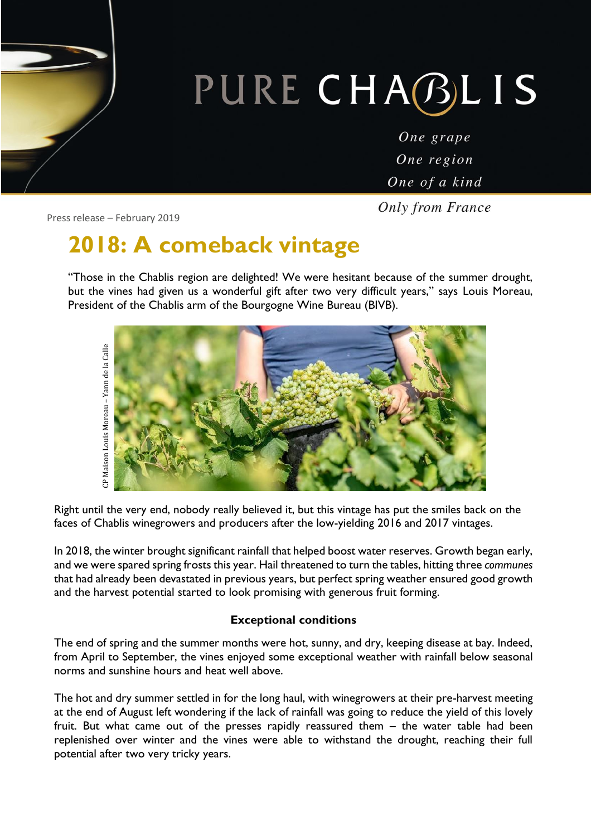# PURE CHABLIS

One grape One region One of a kind

**Only from France** 

Press release – February 2019

## **2018: A comeback vintage**

"Those in the Chablis region are delighted! We were hesitant because of the summer drought, but the vines had given us a wonderful gift after two very difficult years," says Louis Moreau, President of the Chablis arm of the Bourgogne Wine Bureau (BIVB).



Right until the very end, nobody really believed it, but this vintage has put the smiles back on the faces of Chablis winegrowers and producers after the low-yielding 2016 and 2017 vintages.

In 2018, the winter brought significant rainfall that helped boost water reserves. Growth began early, and we were spared spring frosts this year. Hail threatened to turn the tables, hitting three *communes*  that had already been devastated in previous years, but perfect spring weather ensured good growth and the harvest potential started to look promising with generous fruit forming.

#### **Exceptional conditions**

The end of spring and the summer months were hot, sunny, and dry, keeping disease at bay. Indeed, from April to September, the vines enjoyed some exceptional weather with rainfall below seasonal norms and sunshine hours and heat well above.

The hot and dry summer settled in for the long haul, with winegrowers at their pre-harvest meeting at the end of August left wondering if the lack of rainfall was going to reduce the yield of this lovely fruit. But what came out of the presses rapidly reassured them – the water table had been replenished over winter and the vines were able to withstand the drought, reaching their full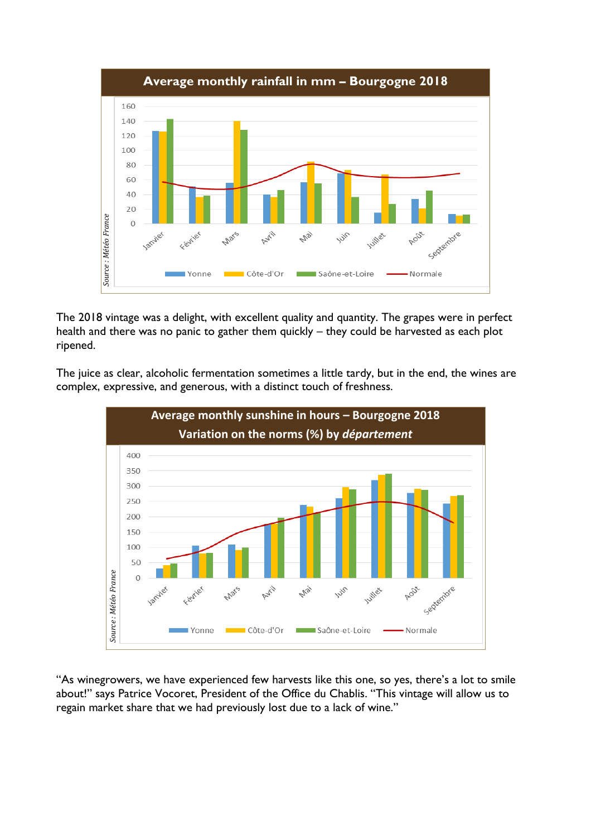

The 2018 vintage was a delight, with excellent quality and quantity. The grapes were in perfect health and there was no panic to gather them quickly – they could be harvested as each plot ripened.

The juice as clear, alcoholic fermentation sometimes a little tardy, but in the end, the wines are complex, expressive, and generous, with a distinct touch of freshness.



"As winegrowers, we have experienced few harvests like this one, so yes, there's a lot to smile about!" says Patrice Vocoret, President of the Office du Chablis. "This vintage will allow us to regain market share that we had previously lost due to a lack of wine."